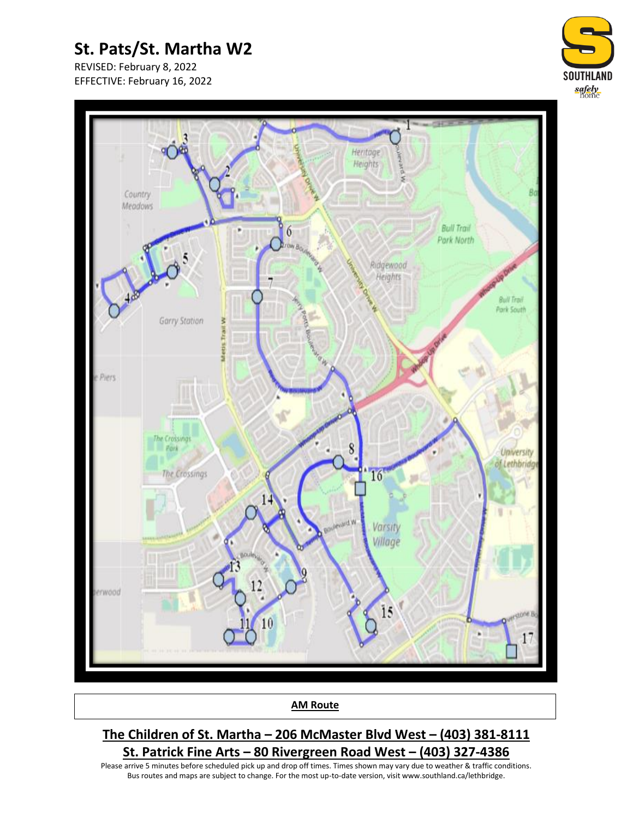# **St. Pats/St. Martha W2**

REVISED: February 8, 2022 EFFECTIVE: February 16, 2022





**AM Route**

### **The Children of St. Martha – 206 McMaster Blvd West – (403) 381-8111 St. Patrick Fine Arts – 80 Rivergreen Road West – (403) 327-4386**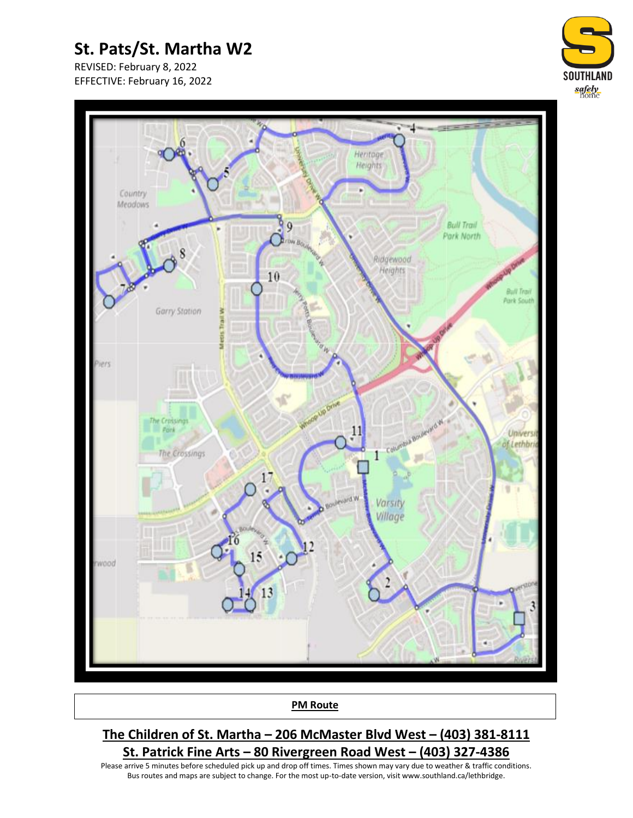# **St. Pats/St. Martha W2**

REVISED: February 8, 2022 EFFECTIVE: February 16, 2022





#### **PM Route**

### **The Children of St. Martha – 206 McMaster Blvd West – (403) 381-8111 St. Patrick Fine Arts – 80 Rivergreen Road West – (403) 327-4386**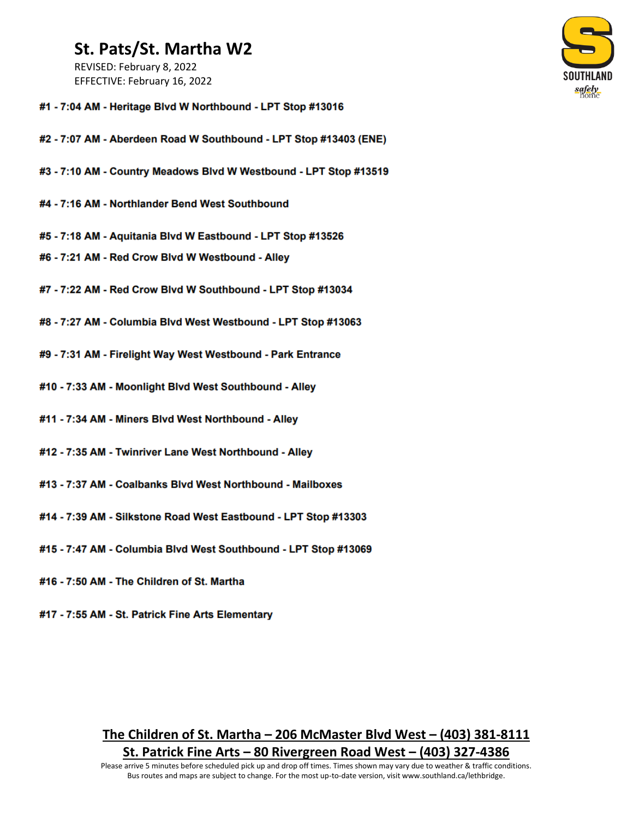### St. Pats/St. Martha W2

REVISED: February 8, 2022 EFFECTIVE: February 16, 2022



- #1 7:04 AM Heritage Blvd W Northbound LPT Stop #13016
- #2 7:07 AM Aberdeen Road W Southbound LPT Stop #13403 (ENE)
- #3 7:10 AM Country Meadows Blvd W Westbound LPT Stop #13519
- #4 7:16 AM Northlander Bend West Southbound
- #5 7:18 AM Aquitania Blvd W Eastbound LPT Stop #13526
- #6 7:21 AM Red Crow Blvd W Westbound Alley
- #7 7:22 AM Red Crow Blvd W Southbound LPT Stop #13034
- #8 7:27 AM Columbia Blvd West Westbound LPT Stop #13063
- #9 7:31 AM Firelight Way West Westbound Park Entrance
- #10 7:33 AM Moonlight Blvd West Southbound Alley
- #11 7:34 AM Miners Blvd West Northbound Alley
- #12 7:35 AM Twinriver Lane West Northbound Alley
- #13 7:37 AM Coalbanks Blvd West Northbound Mailboxes
- #14 7:39 AM Silkstone Road West Eastbound LPT Stop #13303
- #15 7:47 AM Columbia Blvd West Southbound LPT Stop #13069
- #16 7:50 AM The Children of St. Martha
- #17 7:55 AM St. Patrick Fine Arts Elementary

#### The Children of St. Martha  $-206$  McMaster Blvd West  $-$  (403) 381-8111 St. Patrick Fine Arts – 80 Rivergreen Road West – (403) 327-4386